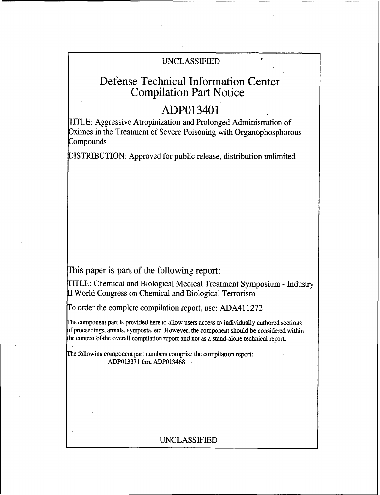## UNCLASSIFIED

# Defense Technical Information Center Compilation Part Notice

# ADP013401

ITLE: Aggressive Atropinization and Prolonged Administration of Oximes in the Treatment of Severe Poisoning with Organophosphorous **Compounds** 

ISTRIBUTION: Approved for public release, distribution unlimited

This paper is part of the following report:

TITLE: Chemical and Biological Medical Treatment Symposium - Industry [I World Congress on Chemical and Biological Terrorism

To order the complete compilation report, use: ADA411272

The component part is provided here to allow users access to individually authored sections of proceedings, annals, symposia, etc. However, the component should be considered within the context of-the overall compilation report and not as a stand-alone technical report.

The following component part numbers comprise the compilation report: ADP013371 thru ADP013468

## UNCLASSIFIED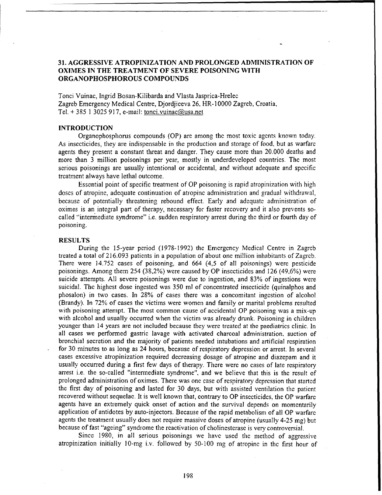### **31. AGGRESSIVE** ATROPINIZATION **AND** PROLONGED **ADMINISTRATION** OF OXIMES **IN** THE TREATMENT OF SEVERE **POISONING** WITH **ORGANOPHOSPHOROUS COMPOUNDS**

Tonci Vuinac, Ingrid Bosan-Kilibarda and Vlasta Jasprica-Hrelec Zagreb Emergency Medical Centre, Djordjiceva 26, HR-10000 Zagreb, Croatia, Tel. + 385 1 3025 917, e-mail: tonci.vuinac@usa.net

#### **INTRODUCTION**

Organophosphorus compounds (OP) are among the most toxic agents known today. As insecticides, they are indispensable in the production and storage of food, but as warfare agents they present a constant threat and danger. They cause more than 20.000 deaths and more than 3 million poisonings per year, mostly in underdeveloped countries. The most serious poisonings are usually intentional or accidental, and without adequate and specific treatment always have lethal outcome.

Essential point of specific treatment of OP poisoning is rapid atropinization with high doses of atropine, adequate continuation of atropine administration and gradual withdrawal, because of potentially threatening rebound effect. Early and adequate administration of oximes is an integral part of therapy, necessary for faster recovery and it also prevents socalled "intermediate syndrome" i.e. sudden respiratory arrest during the third or fourth day of poisoning.

### **RESULTS**

During the 15-year period (1978-1992) the Emergency Medical Centre in Zagreb treated a total of 216.093 patients in a population of about one million inhabitants of Zagreb. There were 14.752 cases of poisoning, and 664 (4,5 of all poisonings) were pesticide poisonings. Among them 254 (38,2%) were caused by OP insecticides and 126 (49,6%) were suicide attempts. All severe poisonings were due to ingestion, and 83% of ingestions were suicidal. The highest dose ingested was 350 ml of concentrated insecticide (quinalphos and phosalon) in two cases. In 28% of cases there was a concomitant ingestion of alcohol (Brandy). In 72% of cases the victims were women and family or marital problems resulted with poisoning attempt. The most common cause of accidental OP poisoning was a mix-up with alcohol and usually occurred when the victim was already drunk. Poisoning in children younger than 14 years are not included because they were treated at the paediatrics clinic. In all cases we performed gastric lavage with activated charcoal administration, suction of bronchial secretion and the majority of patients needed intubations and artificial respiration for 30 minutes to as long as 24 hours, because of respiratory depression or arrest. In several cases excessive atropinization required decreasing dosage of atropine and diazepam and it usually occurred during a first few days of therapy. There were no cases of late respiratory arrest i.e. the so-called "intenrnediate syndrome", and we believe that this is the result of prolonged administration of oximes. There was one case of respiratory depression that started the first day of poisoning and lasted for 30 days, but with assisted ventilation the patient recovered without sequelae. It is well known that, contrary to OP insecticides, the OP warfare agents have an extremely quick onset of action and the survival depends on momentarily application of antidotes by auto-injectors. Because of the rapid metabolism of all OP warfare agents the treatment usually does not require massive doses of atropine (usually 4-25 mg) but because of fast "ageing" syndrome the reactivation of cholinesterase is very controversial.

Since 1980, in all serious poisonings we have used the method of aggressive atropinization initially 10-mg i.v. followed by 50-100 mg of atropine in the first hour of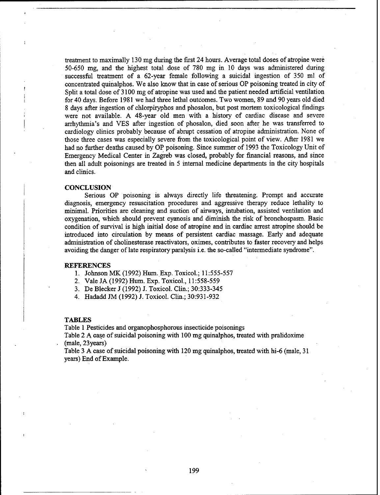treatment to maximally 130 mg during the first 24 hours. Average total doses of atropine were 50-650 mg, and the highest total dose of 780 mg in 10 days was administered during successful treatment of a 62-year female following a suicidal ingestion of 350 ml of concentrated quinalphos. We also know that in case of serious OP poisoning treated in city of Split a total dose of **3100** mg of atropine was used and the patient needed artificial ventilation for 40 days. Before 1981 we had three lethal outcomes. Two women, 89 and 90 years old died 8 days after ingestion of chlorpiryphos and phosalon, but post mortem toxicological findings were not available. A 48-year old men with a history of cardiac disease and severe arrhythmia's and VES after ingestion of phosalon, died soon after he was transferred to cardiology clinics probably because of abrupt cessation of atropine administration. None of those three cases was especially severe from the toxicological point of view. After 1981 we had no further deaths caused by OP poisoning. Since summer of 1993 the Toxicology Unit of Emergency Medical Center in Zagreb was closed, probably for financial reasons, and since then all adult poisonings are treated in 5 internal medicine departments in the city hospitals and clinics.

#### **CONCLUSION**

Serious OP poisoning is always directly life threatening. Prompt and accurate diagnosis, emergency resuscitation procedures and aggressive therapy reduce lethality to minimal. Priorities are cleaning and suction of airways, intubation, assisted ventilation and oxygenation, which should prevent cyanosis and diminish the risk of bronchospasm. Basic condition of survival is high initial dose of atropine and in cardiac arrest atropine should be introduced into circulation by means of persistent cardiac massage. Early and adequate administration of cholinesterase reactivators, oximes, contributes to faster recovery and helps avoiding the danger of late respiratory paralysis i.e. the so-called "intermediate syndrome".

#### REFERENCES

- 1. Johnson MK (1992) Hum. Exp. Toxicol.; 11:555-557
- 2. Vale JA (1992) Hum. Exp. Toxicol., 11:558-559

3. De Blecker J (1992) J. Toxicol. Clin.; 30:333-345

4. Hadadd JM (1992) J. Toxicol. Clin.; 30:931-932

#### TABLES

Table 1 Pesticides and organophosphorous insecticide poisonings

Table 2 A case of suicidal poisoning with 100 mg quinalphos, treated with pralidoxime (male, 23years)

Table 3 A case of suicidal poisoning with 120 mg quinalphos, treated with hi-6 (male, 31 years) End of Example.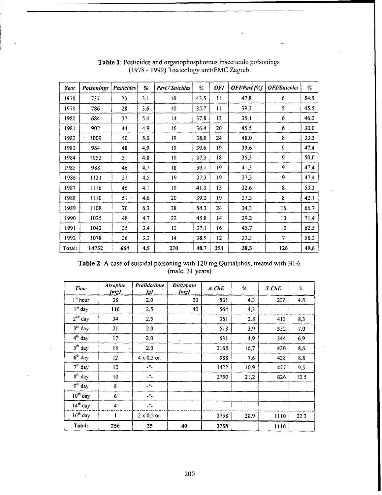| Year   | <b>Poisonings</b> | Pesticides | %   | Pest./ Suicides | %     | 0FI          | OFI/Pest.[%] | <b>OFI/Suicides</b> | %    |
|--------|-------------------|------------|-----|-----------------|-------|--------------|--------------|---------------------|------|
| 1978   | 737               | 23         | 3,1 | 10              | 43,5  | $\mathbf{1}$ | 47,8         | 6                   | 54,5 |
| 1979   | 786               | 28         | 3,6 | 10              | 35.7  | 11           | 39,3         | 5                   | 45.5 |
| 1980   | 684               | 37         | 5,4 | 4               | 37.8  | 13           | 35.1         | 6                   | 46.2 |
| 1981   | 902               | 44         | 4,9 | 16              | 36.4  | 20           | 45.5         | 6                   | 30.0 |
| 1982   | 1009<br>٠         | 50         | 5,0 | 19              | 38,0  | 24           | 48,0         | 8                   | 33,3 |
| 1983   | 984               | 48         | 4,9 | 19              | 39,6  | 19           | 39,6         | 9                   | 47,4 |
| 1984   | 1052              | 51         | 4,8 | 19              | 37,3  | 18           | 35,3         | $\boldsymbol{9}$    | 50,0 |
| 1985   | 988               | 46         | 4,7 | 18              | 39. I | 19           | 41.3         | 9                   | 47,4 |
| 1986   | 1131              | 51         | 4,5 | 19              | 37,3  | 19           | 37,3         | 9                   | 47.4 |
| 1987   | 1116              | 46         | 4,1 | 19              | 41.3  | 15           | 32.6         | 8                   | 53.3 |
| 1988   | 1110              | 51         | 4,6 | 20              | 39,2  | 19           | 37,3         | 8                   | 42.1 |
| 1989   | 1108              | 70         | 6,3 | 38              | 54,3  | 24           | 34,3         | 16                  | 66,7 |
| 1990   | 1025              | 48         | 4,7 | 22              | 45.8  | 14           | 29.2         | 10                  | 71,4 |
| 1991   | 1042              | 35         | 3,4 | 13              | 37.I  | 16           | 45,7         | 10                  | 62.5 |
| 1992   | 1078              | 36         | 3,3 | 14              | 38.9  | 12           | 33.3         | $\overline{7}$      | 58.3 |
| Total: | 14752             | 664        | 4,5 | 270             | 40,7  | 254          | 38,3         | 126                 | 49,6 |

Table **1:** Pesticides and organophosphorous insecticide poisonings (1978 - 1992) Toxicology unit/EMC Zagreb

Table 2: A case of suicidal poisoning with 120 mg Quinalphos, treated with HI-6 (male, 31 years)

| <b>Time</b>          | <b>Atropine</b><br>[mg] | <b>Pralidoxime</b><br><u>lgl</u> | Diazepam<br>[mg] | $A$ -Ch $E$ | $\%$ | S-ChE | %    |
|----------------------|-------------------------|----------------------------------|------------------|-------------|------|-------|------|
| 1 <sup>st</sup> hour | 38                      | 2,0                              | 20               | 561         | 4,3  | 238   | 4,8  |
| 1 <sup>st</sup> day  | 116                     | 2,5                              | 40               | 564         | 4,3  |       |      |
| $2nd$ day            | 34                      | 2,5                              |                  | 361         | 2.8  | 413   | 8,3  |
| $3^{rd}$ day         | 21                      | 2,0                              |                  | 513         | 3.9  | 352   | 7.0  |
| $4th$ day            | 17                      | 2,0                              | ۰                | 631         | 4,9  | 344   | 6,9  |
| $5th$ day            | 15                      | 2,0                              |                  | 2168        | 16,7 | 430   | 8,6  |
| $6^{th}$ day         | 12                      | $4 \times 0.5$ or.               |                  | 988         | 7.6  | 438   | 8.8  |
| $7th$ day            | 12 <sup>2</sup>         | - 5                              |                  | 1422        | 10.9 | 477   | 9,5  |
| $8th$ day            | 10 <sup>°</sup>         | -"-                              |                  | 2750        | 21,2 | 626   | 12,5 |
| $9th$ day            | 8                       | -"-                              |                  |             |      |       |      |
| $10th$ day           | 6                       | ₽.                               |                  |             |      |       |      |
| $14th$ day           | $\overline{\mathbf{4}}$ | ш.                               |                  |             |      |       |      |
| $16th$ day           |                         | $2 \times 0.5$ or.               |                  | 3758        | 28.9 | 1110  | 22,2 |
| Total:               | 256                     | 25                               | 40               | 3758        |      | 1110  |      |